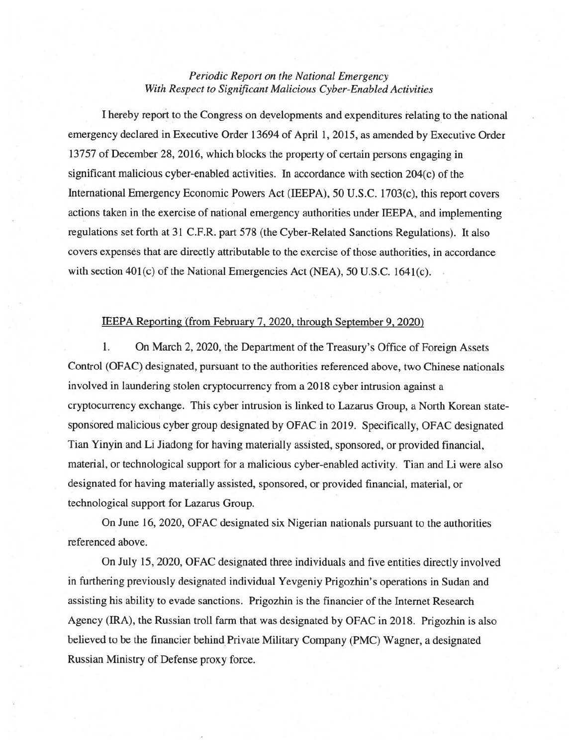## *Periodic Report on the National Emergency With Respect to Signijicant Malicious Cyber-Enabled Activities*

I hereby report to the Congress on developments and expenditures relating to the national emergency declared in Executive Order 13694 of April 1,2015, as amended by Executive Order 13757 of December 28, 2016, which blocks the property of certain persons engaging in significant malicious cyber-enabled activities. In accordance with section  $204(c)$  of the International Emergency Economic Powers Act (IEEPA), 50 U.S.C. 1703(c), this report covers actions taken in the exercise of national emergency authorities under IEEP A, and implementing regulations set forth at 31 C.F.R. part 578 (the Cyber-Related Sanctions Regulations). It also covers expenses that are directly attributable to the exercise of those authorities, in accordance with section  $401(c)$  of the National Emergencies Act (NEA), 50 U.S.C. 1641(c).

## IEEPA Reporting (from February 7, 2020, through September 9, 2020)

1. On March 2, 2020, the Department of the Treasury' s Office of Foreign Assets ControI (OFAC) designated, pursuant to the authorities referenced above, two Chinese nationa1s involved in Iaundering stolen cryptocurrency from a 2018 cyber intrusion against a cryptocurrency exchange. This cyber intrusion is linked to Lazarus Group, a North Korean statesponsored malicious cyber group designated by OFAC in 2019. Specifically, OFAC designated Tian Yinyin and Li Jiadong for having materially assisted, sponsored, or provided financiaI , material, or technological support for a malicious cyber-enabled activity. Tian and Li were also designated for having materially assisted, sponsored, or provided financial, material, or technological support for Lazarus Group.

On June 16,2020, OFAC designated six Nigerian nationals pursuant to the authorities referenced above.

On July 15,2020, OFAC designated three individuals and five entities directly involved in furthering previously designated individual Yevgeniy Prigozhin's operations in Sudan and assisting his ability to evade sanctions. Prigozhin is the financier of the Internet Research Agency (IRA), the Russian troll farm that was designated by OFAC in 2018. Prigozhin is also believed to be the financier behind Private Military Company (PMC) Wagner, a designated Russian Ministry of Defense proxy force .